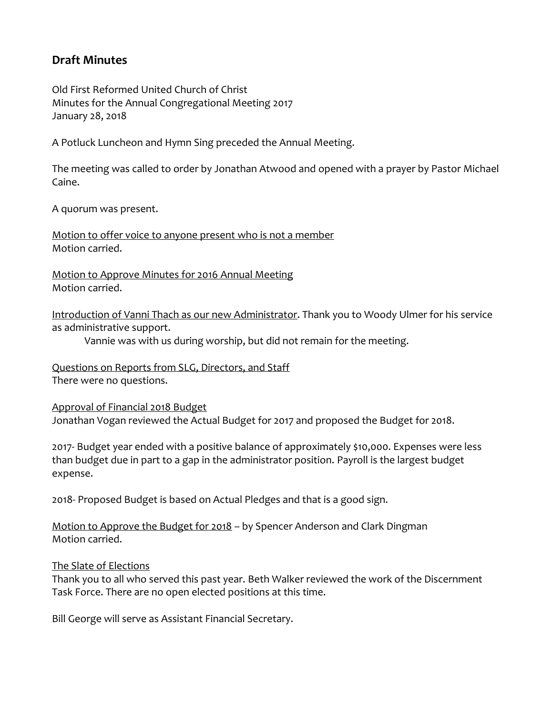# **Draft Minutes**

Old First Reformed United Church of Christ Minutes for the Annual Congregational Meeting 2017 January 28, 2018

A Potluck Luncheon and Hymn Sing preceded the Annual Meeting.

The meeting was called to order by Jonathan Atwood and opened with a prayer by Pastor Michael Caine.

A quorum was present.

Motion to offer voice to anyone present who is not a member Motion carried.

Motion to Approve Minutes for 2016 Annual Meeting Motion carried.

Introduction of Vanni Thach as our new Administrator. Thank you to Woody Ulmer for his service as administrative support.

Vannie was with us during worship, but did not remain for the meeting.

Questions on Reports from SLG, Directors, and Staff There were no questions.

Approval of Financial 2018 Budget Jonathan Vogan reviewed the Actual Budget for 2017 and proposed the Budget for 2018.

2017- Budget year ended with a positive balance of approximately \$10,000. Expenses were less than budget due in part to a gap in the administrator position. Payroll is the largest budget expense.

2018- Proposed Budget is based on Actual Pledges and that is a good sign.

Motion to Approve the Budget for 2018 – by Spencer Anderson and Clark Dingman Motion carried.

# The Slate of Elections

Thank you to all who served this past year. Beth Walker reviewed the work of the Discernment Task Force. There are no open elected positions at this time.

Bill George will serve as Assistant Financial Secretary.